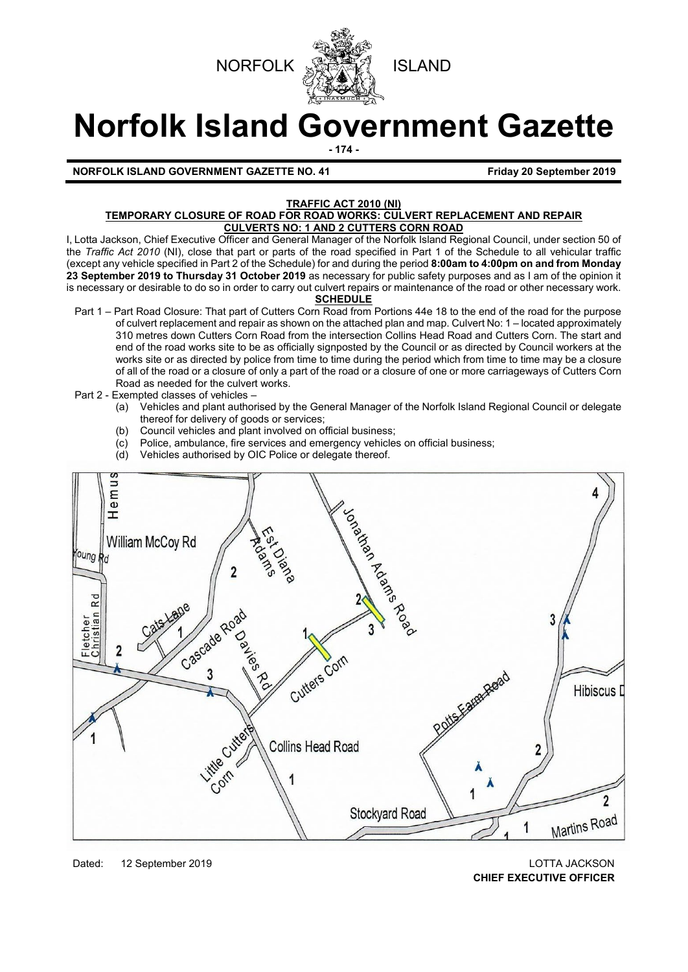



# **Norfolk Island Government Gazette**

**- 174 -**

**NORFOLK ISLAND GOVERNMENT GAZETTE NO. 41 Friday 20 September 2019** 

#### **TRAFFIC ACT 2010 (NI)**

#### **TEMPORARY CLOSURE OF ROAD FOR ROAD WORKS: CULVERT REPLACEMENT AND REPAIR CULVERTS NO: 1 AND 2 CUTTERS CORN ROAD**

I, Lotta Jackson, Chief Executive Officer and General Manager of the Norfolk Island Regional Council, under section 50 of the *Traffic Act 2010* (NI), close that part or parts of the road specified in Part 1 of the Schedule to all vehicular traffic (except any vehicle specified in Part 2 of the Schedule) for and during the period **8:00am to 4:00pm on and from Monday 23 September 2019 to Thursday 31 October 2019** as necessary for public safety purposes and as I am of the opinion it is necessary or desirable to do so in order to carry out culvert repairs or maintenance of the road or other necessary work. **SCHEDULE**

- Part 1 Part Road Closure: That part of Cutters Corn Road from Portions 44e 18 to the end of the road for the purpose of culvert replacement and repair as shown on the attached plan and map. Culvert No: 1 – located approximately 310 metres down Cutters Corn Road from the intersection Collins Head Road and Cutters Corn. The start and end of the road works site to be as officially signposted by the Council or as directed by Council workers at the works site or as directed by police from time to time during the period which from time to time may be a closure of all of the road or a closure of only a part of the road or a closure of one or more carriageways of Cutters Corn Road as needed for the culvert works.
- Part 2 Exempted classes of vehicles
	- (a) Vehicles and plant authorised by the General Manager of the Norfolk Island Regional Council or delegate thereof for delivery of goods or services;
	- (b) Council vehicles and plant involved on official business;
	- (c) Police, ambulance, fire services and emergency vehicles on official business;<br>(d) Vehicles authorised by OIC Police or delegate thereof.
	- Vehicles authorised by OIC Police or delegate thereof.



Dated: 12 September 2019 LOTTA JACKSON **CHIEF EXECUTIVE OFFICER**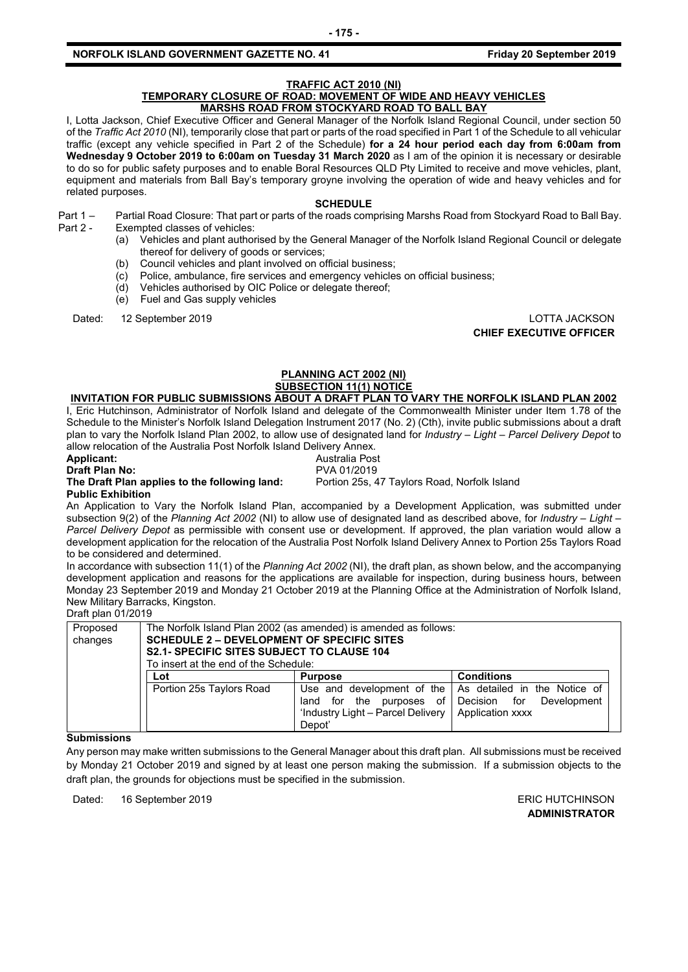#### **TRAFFIC ACT 2010 (NI)**

#### **TEMPORARY CLOSURE OF ROAD: MOVEMENT OF WIDE AND HEAVY VEHICLES MARSHS ROAD FROM STOCKYARD ROAD TO BALL BAY**

I, Lotta Jackson, Chief Executive Officer and General Manager of the Norfolk Island Regional Council, under section 50 of the *Traffic Act 2010* (NI), temporarily close that part or parts of the road specified in Part 1 of the Schedule to all vehicular traffic (except any vehicle specified in Part 2 of the Schedule) **for a 24 hour period each day from 6:00am from Wednesday 9 October 2019 to 6:00am on Tuesday 31 March 2020** as I am of the opinion it is necessary or desirable to do so for public safety purposes and to enable Boral Resources QLD Pty Limited to receive and move vehicles, plant, equipment and materials from Ball Bay's temporary groyne involving the operation of wide and heavy vehicles and for related purposes.

#### **SCHEDULE**

- Part 1 Partial Road Closure: That part or parts of the roads comprising Marshs Road from Stockyard Road to Ball Bay. Part 2 - Exempted classes of vehicles:
	- (a) Vehicles and plant authorised by the General Manager of the Norfolk Island Regional Council or delegate thereof for delivery of goods or services;
	- (b) Council vehicles and plant involved on official business;
	- (c) Police, ambulance, fire services and emergency vehicles on official business;
	- (d) Vehicles authorised by OIC Police or delegate thereof;
	- (e) Fuel and Gas supply vehicles

Dated: 12 September 2019 LOTTA JACKSON **CHIEF EXECUTIVE OFFICER**

### **PLANNING ACT 2002 (NI) SUBSECTION 11(1) NOTICE**

## **INVITATION FOR PUBLIC SUBMISSIONS ABOUT A DRAFT PLAN TO VARY THE NORFOLK ISLAND PLAN 2002**

I, Eric Hutchinson, Administrator of Norfolk Island and delegate of the Commonwealth Minister under Item 1.78 of the Schedule to the Minister's Norfolk Island Delegation Instrument 2017 (No. 2) (Cth), invite public submissions about a draft plan to vary the Norfolk Island Plan 2002, to allow use of designated land for *Industry – Light – Parcel Delivery Depot* to allow relocation of the Australia Post Norfolk Island Delivery Annex.

# **Applicant:** Australia Post

# **Draft Plan No:<br>The Draft Plan applies to the following land: Public Exhibition**

An Application to Vary the Norfolk Island Plan, accompanied by a Development Application, was submitted under subsection 9(2) of the *Planning Act 2002* (NI) to allow use of designated land as described above, for *Industry – Light – Parcel Delivery Depot* as permissible with consent use or development. If approved, the plan variation would allow a development application for the relocation of the Australia Post Norfolk Island Delivery Annex to Portion 25s Taylors Road to be considered and determined.

Portion 25s, 47 Taylors Road, Norfolk Island

In accordance with subsection 11(1) of the *Planning Act 2002* (NI), the draft plan, as shown below, and the accompanying development application and reasons for the applications are available for inspection, during business hours, between Monday 23 September 2019 and Monday 21 October 2019 at the Planning Office at the Administration of Norfolk Island, New Military Barracks, Kingston.

#### Draft plan 01/2019

| Proposed<br>changes | The Norfolk Island Plan 2002 (as amended) is amended as follows:<br><b>SCHEDULE 2 – DEVELOPMENT OF SPECIFIC SITES</b><br><b>S2.1- SPECIFIC SITES SUBJECT TO CLAUSE 104</b><br>To insert at the end of the Schedule: |                                                                                        |                                                                                                              |
|---------------------|---------------------------------------------------------------------------------------------------------------------------------------------------------------------------------------------------------------------|----------------------------------------------------------------------------------------|--------------------------------------------------------------------------------------------------------------|
|                     | Lot                                                                                                                                                                                                                 | <b>Purpose</b>                                                                         | <b>Conditions</b>                                                                                            |
|                     | Portion 25s Taylors Road                                                                                                                                                                                            | for the purposes of<br>land<br>'Industry Light - Parcel Delivery<br>Depot <sup>'</sup> | Use and development of the   As detailed in the Notice of<br>Decision for<br>Development<br>Application xxxx |

#### **Submissions**

Any person may make written submissions to the General Manager about this draft plan. All submissions must be received by Monday 21 October 2019 and signed by at least one person making the submission. If a submission objects to the draft plan, the grounds for objections must be specified in the submission.

Dated: 16 September 2019 **ERIC HUTCHINSON** 

**ADMINISTRATOR**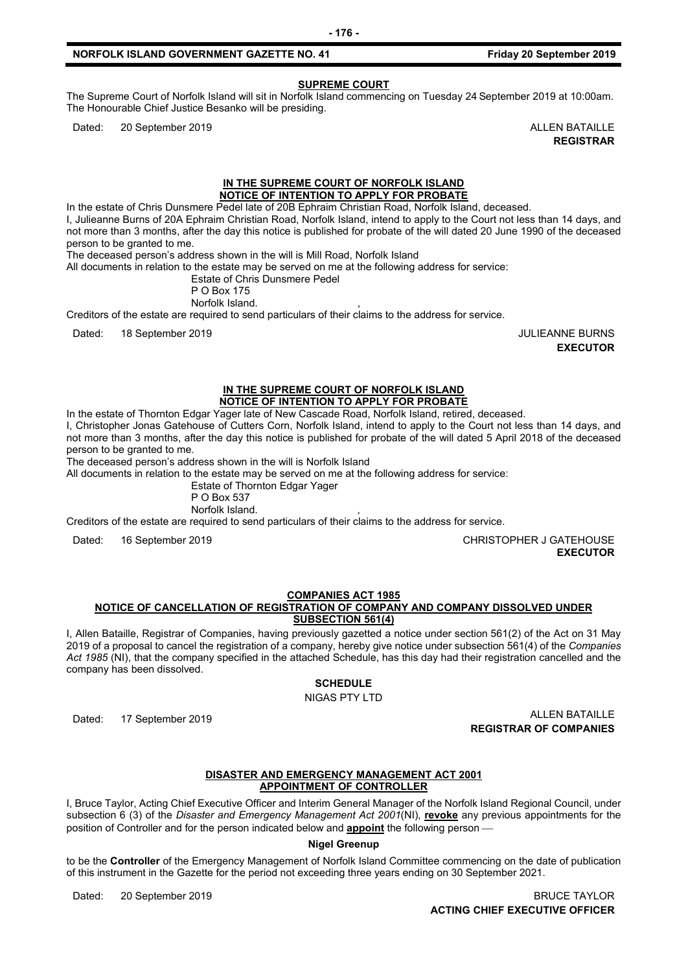#### **SUPREME COURT**

The Supreme Court of Norfolk Island will sit in Norfolk Island commencing on Tuesday 24 September 2019 at 10:00am. The Honourable Chief Justice Besanko will be presiding.

Dated: 20 September 2019 ALLEN BATAILLE

**REGISTRAR**

#### **IN THE SUPREME COURT OF NORFOLK ISLAND NOTICE OF INTENTION TO APPLY FOR PROBATE**

In the estate of Chris Dunsmere Pedel late of 20B Ephraim Christian Road, Norfolk Island, deceased.

I, Julieanne Burns of 20A Ephraim Christian Road, Norfolk Island, intend to apply to the Court not less than 14 days, and not more than 3 months, after the day this notice is published for probate of the will dated 20 June 1990 of the deceased person to be granted to me.

The deceased person's address shown in the will is Mill Road, Norfolk Island

All documents in relation to the estate may be served on me at the following address for service:

Estate of Chris Dunsmere Pedel

P O Box 175 Norfolk Island.

Creditors of the estate are required to send particulars of their claims to the address for service.

Dated: 18 September 2019 JULIEANNE BURNS

**EXECUTOR**

#### **IN THE SUPREME COURT OF NORFOLK ISLAND NOTICE OF INTENTION TO APPLY FOR PROBATE**

In the estate of Thornton Edgar Yager late of New Cascade Road, Norfolk Island, retired, deceased.

I, Christopher Jonas Gatehouse of Cutters Corn, Norfolk Island, intend to apply to the Court not less than 14 days, and not more than 3 months, after the day this notice is published for probate of the will dated 5 April 2018 of the deceased person to be granted to me.

The deceased person's address shown in the will is Norfolk Island

All documents in relation to the estate may be served on me at the following address for service:

Estate of Thornton Edgar Yager

P O Box 537

Norfolk Island.

Creditors of the estate are required to send particulars of their claims to the address for service.

Dated: 16 September 2019 CHRISTOPHER J GATEHOUSE **EXECUTOR**

**COMPANIES ACT 1985**

#### **NOTICE OF CANCELLATION OF REGISTRATION OF COMPANY AND COMPANY DISSOLVED UNDER SUBSECTION 561(4)**

I, Allen Bataille, Registrar of Companies, having previously gazetted a notice under section 561(2) of the Act on 31 May 2019 of a proposal to cancel the registration of a company, hereby give notice under subsection 561(4) of the *Companies Act 1985* (NI), that the company specified in the attached Schedule, has this day had their registration cancelled and the company has been dissolved.

**SCHEDULE**

NIGAS PTY LTD

Dated: 17 September 2019 **ALLEN BATAILLE REGISTRAR OF COMPANIES**

#### **DISASTER AND EMERGENCY MANAGEMENT ACT 2001 APPOINTMENT OF CONTROLLER**

I, Bruce Taylor, Acting Chief Executive Officer and Interim General Manager of the Norfolk Island Regional Council, under subsection 6 (3) of the *Disaster and Emergency Management Act 2001*(NI), **revoke** any previous appointments for the position of Controller and for the person indicated below and **appoint** the following person

**Nigel Greenup**

to be the **Controller** of the Emergency Management of Norfolk Island Committee commencing on the date of publication of this instrument in the Gazette for the period not exceeding three years ending on 30 September 2021.

Dated: 20 September 2019 BRUCE TAYLOR **ACTING CHIEF EXECUTIVE OFFICER**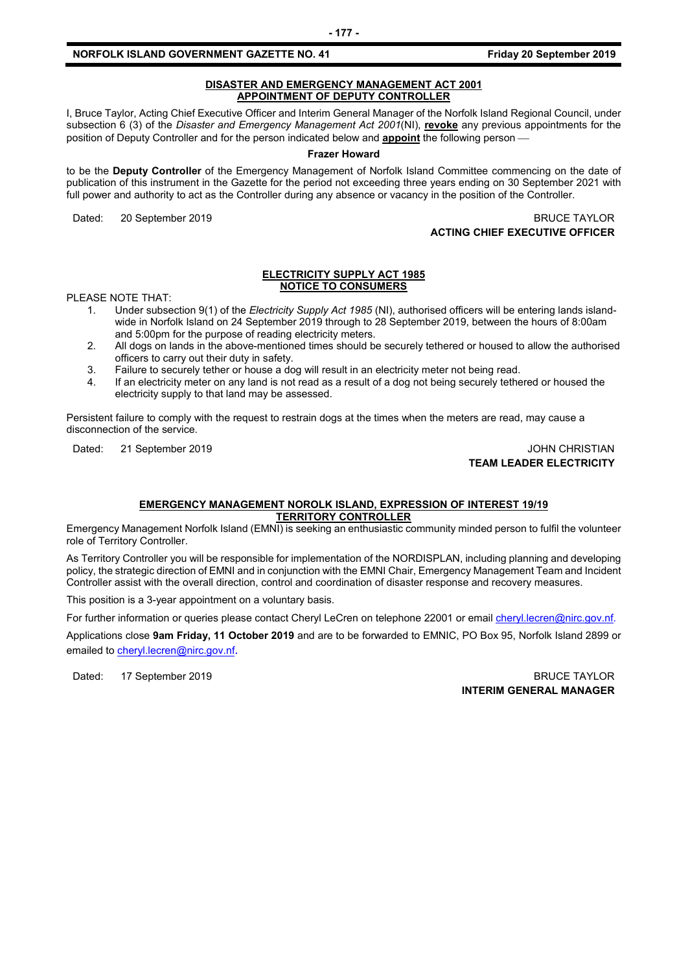#### **DISASTER AND EMERGENCY MANAGEMENT ACT 2001 APPOINTMENT OF DEPUTY CONTROLLER**

I, Bruce Taylor, Acting Chief Executive Officer and Interim General Manager of the Norfolk Island Regional Council, under subsection 6 (3) of the *Disaster and Emergency Management Act 2001*(NI), **revoke** any previous appointments for the position of Deputy Controller and for the person indicated below and **appoint** the following person

#### **Frazer Howard**

to be the **Deputy Controller** of the Emergency Management of Norfolk Island Committee commencing on the date of publication of this instrument in the Gazette for the period not exceeding three years ending on 30 September 2021 with full power and authority to act as the Controller during any absence or vacancy in the position of the Controller.

Dated: 20 September 2019 BRUCE TAYLOR

**ACTING CHIEF EXECUTIVE OFFICER**

#### **ELECTRICITY SUPPLY ACT 1985 NOTICE TO CONSUMERS**

PLEASE NOTE THAT:

- 1. Under subsection 9(1) of the *Electricity Supply Act 1985* (NI), authorised officers will be entering lands islandwide in Norfolk Island on 24 September 2019 through to 28 September 2019, between the hours of 8:00am and 5:00pm for the purpose of reading electricity meters.
- 2. All dogs on lands in the above-mentioned times should be securely tethered or housed to allow the authorised officers to carry out their duty in safety.
- 3. Failure to securely tether or house a dog will result in an electricity meter not being read.
- 4. If an electricity meter on any land is not read as a result of a dog not being securely tethered or housed the electricity supply to that land may be assessed.

Persistent failure to comply with the request to restrain dogs at the times when the meters are read, may cause a disconnection of the service.

Dated: 21 September 2019 JOHN CHRISTIAN

# **TEAM LEADER ELECTRICITY**

#### **EMERGENCY MANAGEMENT NOROLK ISLAND, EXPRESSION OF INTEREST 19/19 TERRITORY CONTROLLER**

Emergency Management Norfolk Island (EMNI) is seeking an enthusiastic community minded person to fulfil the volunteer role of Territory Controller.

As Territory Controller you will be responsible for implementation of the NORDISPLAN, including planning and developing policy, the strategic direction of EMNI and in conjunction with the EMNI Chair, Emergency Management Team and Incident Controller assist with the overall direction, control and coordination of disaster response and recovery measures.

This position is a 3-year appointment on a voluntary basis.

For further information or queries please contact Cheryl LeCren on telephone 22001 or email [cheryl.lecren@nirc.gov.nf.](mailto:cheryl.lecren@nirc.gov.nf)

Applications close **9am Friday, 11 October 2019** and are to be forwarded to EMNIC, PO Box 95, Norfolk Island 2899 or emailed t[o cheryl.lecren@nirc.gov.nf](mailto:cheryl.lecren@nirc.gov.nf).

Dated: 17 September 2019 BRUCE TAYLOR

**INTERIM GENERAL MANAGER**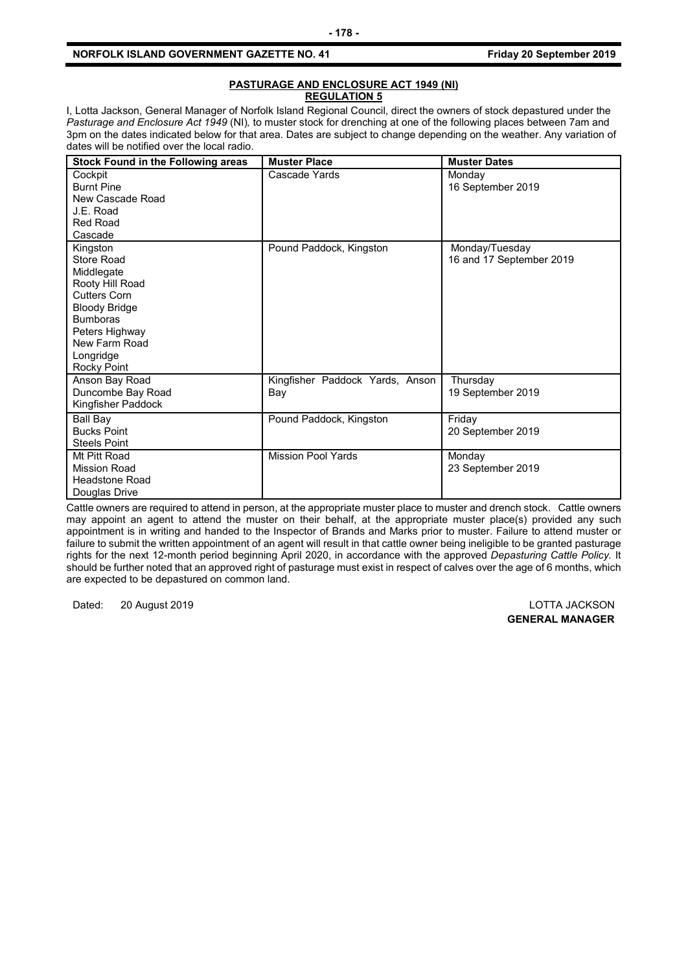#### **PASTURAGE AND ENCLOSURE ACT 1949 (NI) REGULATION 5**

I, Lotta Jackson, General Manager of Norfolk Island Regional Council, direct the owners of stock depastured under the *Pasturage and Enclosure Act 1949* (NI)*,* to muster stock for drenching at one of the following places between 7am and 3pm on the dates indicated below for that area. Dates are subject to change depending on the weather. Any variation of dates will be notified over the local radio.

| <b>Stock Found in the Following areas</b> | <b>Muster Place</b>             | <b>Muster Dates</b>         |
|-------------------------------------------|---------------------------------|-----------------------------|
| Cockpit<br><b>Burnt Pine</b>              | Cascade Yards                   | Monday<br>16 September 2019 |
| New Cascade Road                          |                                 |                             |
| J.E. Road                                 |                                 |                             |
| Red Road                                  |                                 |                             |
| Cascade                                   |                                 |                             |
| Kingston                                  | Pound Paddock, Kingston         | Monday/Tuesday              |
| Store Road                                |                                 | 16 and 17 September 2019    |
| Middlegate                                |                                 |                             |
| Rooty Hill Road<br>Cutters Corn           |                                 |                             |
| <b>Bloody Bridge</b>                      |                                 |                             |
| <b>Bumboras</b>                           |                                 |                             |
| Peters Highway                            |                                 |                             |
| New Farm Road                             |                                 |                             |
| Longridge                                 |                                 |                             |
| Rocky Point                               |                                 |                             |
| Anson Bay Road                            | Kingfisher Paddock Yards, Anson | Thursday                    |
| Duncombe Bay Road                         | Bay                             | 19 September 2019           |
| Kingfisher Paddock                        |                                 |                             |
| Ball Bay                                  | Pound Paddock, Kingston         | Friday                      |
| <b>Bucks Point</b>                        |                                 | 20 September 2019           |
| <b>Steels Point</b>                       |                                 |                             |
| Mt Pitt Road                              | <b>Mission Pool Yards</b>       | Monday                      |
| <b>Mission Road</b>                       |                                 | 23 September 2019           |
| <b>Headstone Road</b><br>Douglas Drive    |                                 |                             |
|                                           |                                 |                             |

Cattle owners are required to attend in person, at the appropriate muster place to muster and drench stock. Cattle owners may appoint an agent to attend the muster on their behalf, at the appropriate muster place(s) provided any such appointment is in writing and handed to the Inspector of Brands and Marks prior to muster. Failure to attend muster or failure to submit the written appointment of an agent will result in that cattle owner being ineligible to be granted pasturage rights for the next 12-month period beginning April 2020, in accordance with the approved *Depasturing Cattle Policy.* It should be further noted that an approved right of pasturage must exist in respect of calves over the age of 6 months, which are expected to be depastured on common land.

Dated: 20 August 2019 LOTTA JACKSON

**GENERAL MANAGER**